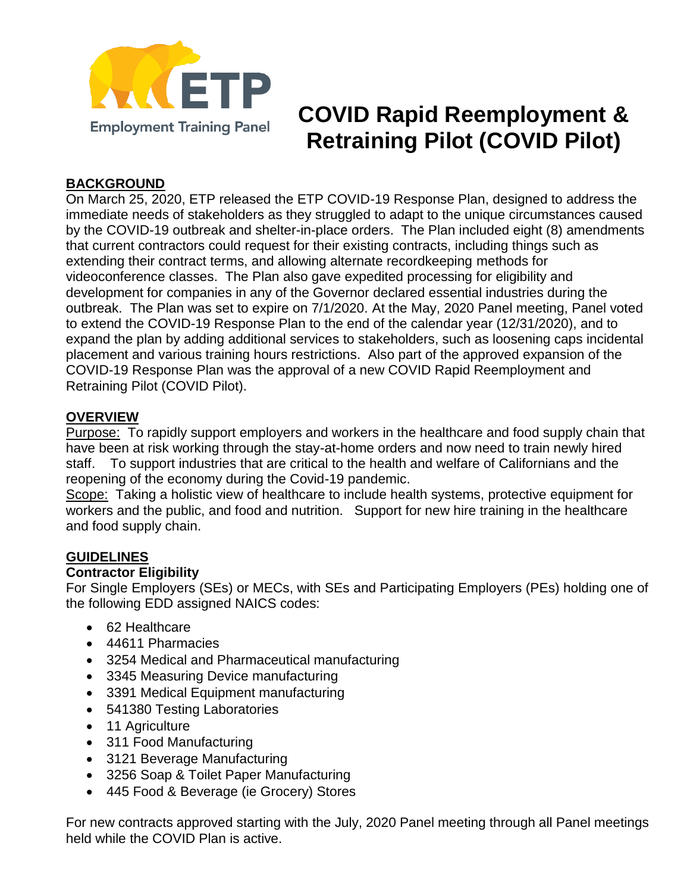

# **COVID Rapid Reemployment & Retraining Pilot (COVID Pilot)**

## **BACKGROUND**

On March 25, 2020, ETP released the ETP COVID-19 Response Plan, designed to address the immediate needs of stakeholders as they struggled to adapt to the unique circumstances caused by the COVID-19 outbreak and shelter-in-place orders. The Plan included eight (8) amendments that current contractors could request for their existing contracts, including things such as extending their contract terms, and allowing alternate recordkeeping methods for videoconference classes. The Plan also gave expedited processing for eligibility and development for companies in any of the Governor declared essential industries during the outbreak. The Plan was set to expire on 7/1/2020. At the May, 2020 Panel meeting, Panel voted to extend the COVID-19 Response Plan to the end of the calendar year (12/31/2020), and to expand the plan by adding additional services to stakeholders, such as loosening caps incidental placement and various training hours restrictions. Also part of the approved expansion of the COVID-19 Response Plan was the approval of a new COVID Rapid Reemployment and Retraining Pilot (COVID Pilot).

#### **OVERVIEW**

Purpose: To rapidly support employers and workers in the healthcare and food supply chain that have been at risk working through the stay-at-home orders and now need to train newly hired staff. To support industries that are critical to the health and welfare of Californians and the reopening of the economy during the Covid-19 pandemic.

Scope: Taking a holistic view of healthcare to include health systems, protective equipment for workers and the public, and food and nutrition. Support for new hire training in the healthcare and food supply chain.

#### **GUIDELINES**

#### **Contractor Eligibility**

For Single Employers (SEs) or MECs, with SEs and Participating Employers (PEs) holding one of the following EDD assigned NAICS codes:

- 62 Healthcare
- 44611 Pharmacies
- 3254 Medical and Pharmaceutical manufacturing
- 3345 Measuring Device manufacturing
- 3391 Medical Equipment manufacturing
- 541380 Testing Laboratories
- 11 Agriculture
- 311 Food Manufacturing
- 3121 Beverage Manufacturing
- 3256 Soap & Toilet Paper Manufacturing
- 445 Food & Beverage (ie Grocery) Stores

For new contracts approved starting with the July, 2020 Panel meeting through all Panel meetings held while the COVID Plan is active.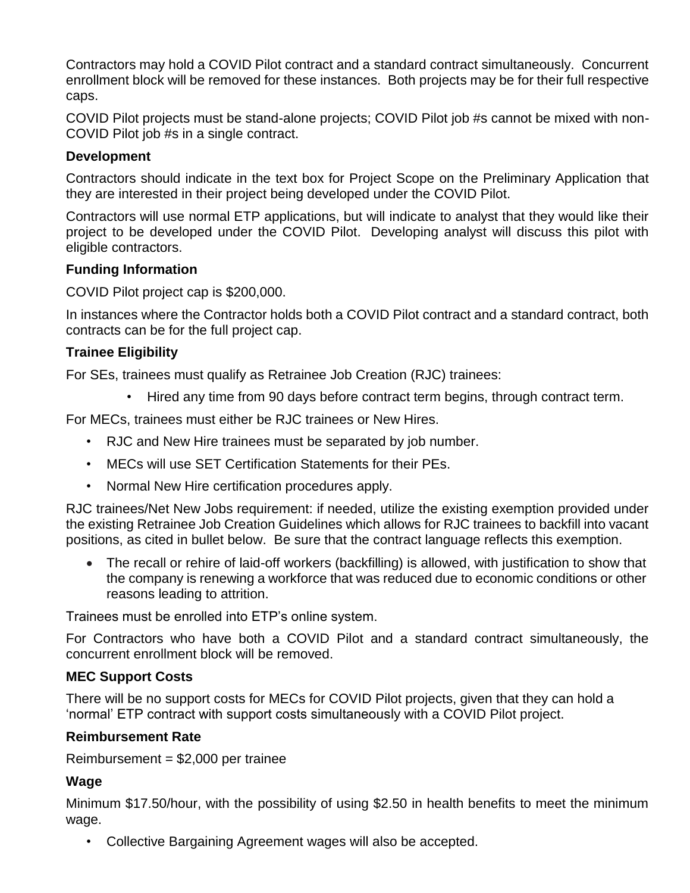Contractors may hold a COVID Pilot contract and a standard contract simultaneously. Concurrent enrollment block will be removed for these instances. Both projects may be for their full respective caps.

COVID Pilot projects must be stand-alone projects; COVID Pilot job #s cannot be mixed with non-COVID Pilot job #s in a single contract.

#### **Development**

Contractors should indicate in the text box for Project Scope on the Preliminary Application that they are interested in their project being developed under the COVID Pilot.

Contractors will use normal ETP applications, but will indicate to analyst that they would like their project to be developed under the COVID Pilot. Developing analyst will discuss this pilot with eligible contractors.

### **Funding Information**

COVID Pilot project cap is \$200,000.

In instances where the Contractor holds both a COVID Pilot contract and a standard contract, both contracts can be for the full project cap.

# **Trainee Eligibility**

For SEs, trainees must qualify as Retrainee Job Creation (RJC) trainees:

• Hired any time from 90 days before contract term begins, through contract term.

For MECs, trainees must either be RJC trainees or New Hires.

- RJC and New Hire trainees must be separated by job number.
- MECs will use SET Certification Statements for their PEs.
- Normal New Hire certification procedures apply.

RJC trainees/Net New Jobs requirement: if needed, utilize the existing exemption provided under the existing Retrainee Job Creation Guidelines which allows for RJC trainees to backfill into vacant positions, as cited in bullet below. Be sure that the contract language reflects this exemption.

 The recall or rehire of laid-off workers (backfilling) is allowed, with justification to show that the company is renewing a workforce that was reduced due to economic conditions or other reasons leading to attrition.

Trainees must be enrolled into ETP's online system.

For Contractors who have both a COVID Pilot and a standard contract simultaneously, the concurrent enrollment block will be removed.

### **MEC Support Costs**

There will be no support costs for MECs for COVID Pilot projects, given that they can hold a 'normal' ETP contract with support costs simultaneously with a COVID Pilot project.

### **Reimbursement Rate**

Reimbursement = \$2,000 per trainee

### **Wage**

Minimum \$17.50/hour, with the possibility of using \$2.50 in health benefits to meet the minimum wage.

• Collective Bargaining Agreement wages will also be accepted.